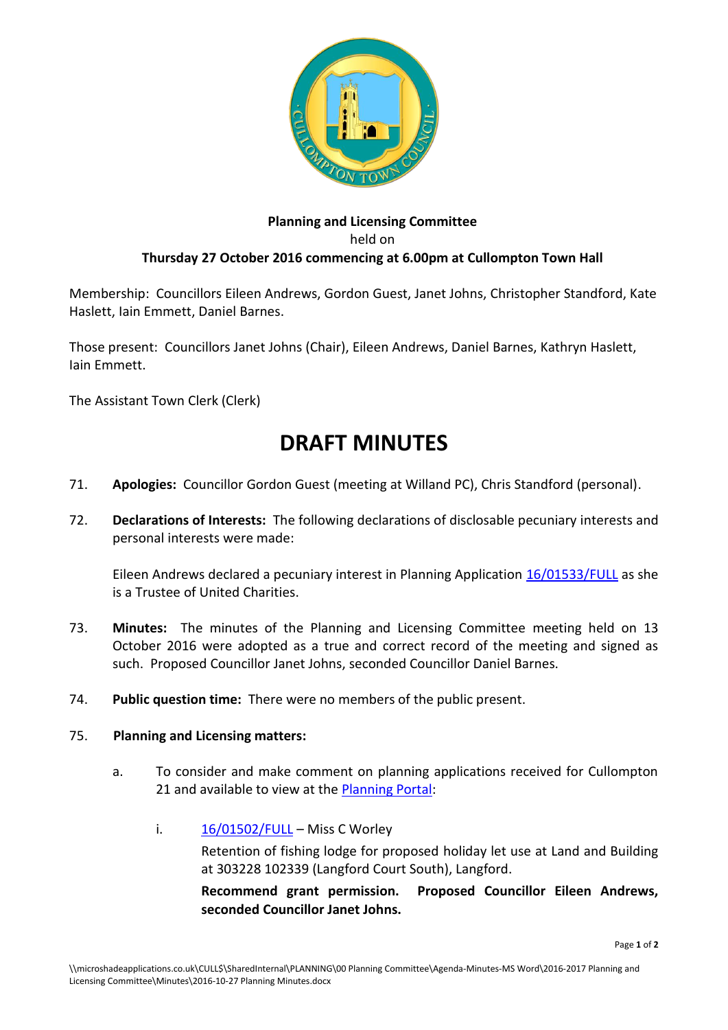

## **Planning and Licensing Committee** held on **Thursday 27 October 2016 commencing at 6.00pm at Cullompton Town Hall**

Membership: Councillors Eileen Andrews, Gordon Guest, Janet Johns, Christopher Standford, Kate Haslett, Iain Emmett, Daniel Barnes.

Those present: Councillors Janet Johns (Chair), Eileen Andrews, Daniel Barnes, Kathryn Haslett, Iain Emmett.

The Assistant Town Clerk (Clerk)

## **DRAFT MINUTES**

- 71. **Apologies:** Councillor Gordon Guest (meeting at Willand PC), Chris Standford (personal).
- 72. **Declarations of Interests:** The following declarations of disclosable pecuniary interests and personal interests were made:

Eileen Andrews declared a pecuniary interest in Planning Application [16/01533/FULL](http://docs.middevon.gov.uk/pap/index.asp?caseref=16/01533/FULL) as she is a Trustee of United Charities.

- 73. **Minutes:** The minutes of the Planning and Licensing Committee meeting held on 13 October 2016 were adopted as a true and correct record of the meeting and signed as such. Proposed Councillor Janet Johns, seconded Councillor Daniel Barnes.
- 74. **Public question time:** There were no members of the public present.

## 75. **Planning and Licensing matters:**

- a. To consider and make comment on planning applications received for Cullompton 21 and available to view at the [Planning Portal:](http://planning.middevon.gov.uk/online-applications/refineSearch.do?action=refine)
	- i.  $16/01502/FULL Miss C Worley$  $16/01502/FULL Miss C Worley$

Retention of fishing lodge for proposed holiday let use at Land and Building at 303228 102339 (Langford Court South), Langford.

**Recommend grant permission. Proposed Councillor Eileen Andrews, seconded Councillor Janet Johns.**